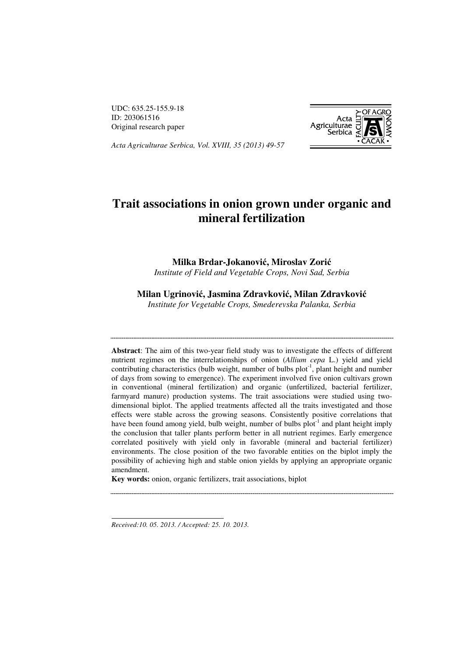UDC: 635.25-155.9-18 ID: 203061516 Original research paper



*Acta Agriculturae Serbica, Vol. XVIII, 35 (2013) 49-57<sup>1</sup>*

# **Trait associations in onion grown under organic and mineral fertilization**

**Milka Brdar-Jokanovi**ć**, Miroslav Zori**ć *Institute of Field and Vegetable Crops, Novi Sad, Serbia* 

### **Milan Ugrinovi**ć**, Jasmina Zdravkovi**ć**, Milan Zdravkovi**ć

*Institute for Vegetable Crops, Smederevska Palanka, Serbia* 

**Abstract**: The aim of this two-year field study was to investigate the effects of different nutrient regimes on the interrelationships of onion (*Allium cepa* L.) yield and yield contributing characteristics (bulb weight, number of bulbs plot<sup>-1</sup>, plant height and number of days from sowing to emergence). The experiment involved five onion cultivars grown in conventional (mineral fertilization) and organic (unfertilized, bacterial fertilizer, farmyard manure) production systems. The trait associations were studied using twodimensional biplot. The applied treatments affected all the traits investigated and those effects were stable across the growing seasons. Consistently positive correlations that have been found among yield, bulb weight, number of bulbs  $plot^{-1}$  and plant height imply the conclusion that taller plants perform better in all nutrient regimes. Early emergence correlated positively with yield only in favorable (mineral and bacterial fertilizer) environments. The close position of the two favorable entities on the biplot imply the possibility of achieving high and stable onion yields by applying an appropriate organic amendment.

**Key words:** onion, organic fertilizers, trait associations, biplot

*Received:10. 05. 2013. / Accepted: 25. 10. 2013.* 

 $\overline{a}$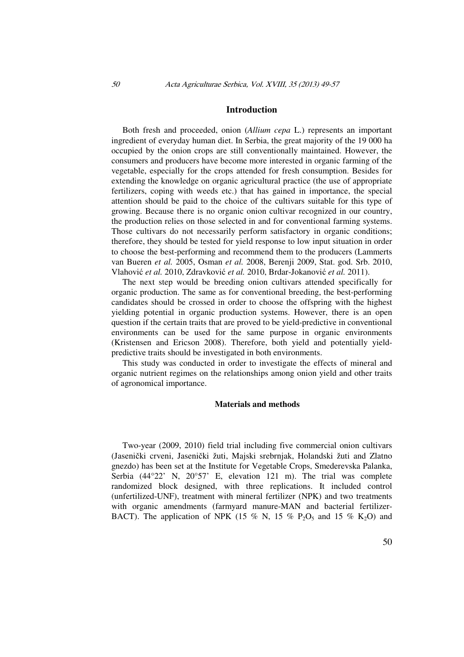#### **Introduction**

Both fresh and proceeded, onion (*Allium cepa* L.) represents an important ingredient of everyday human diet. In Serbia, the great majority of the 19 000 ha occupied by the onion crops are still conventionally maintained. However, the consumers and producers have become more interested in organic farming of the vegetable, especially for the crops attended for fresh consumption. Besides for extending the knowledge on organic agricultural practice (the use of appropriate fertilizers, coping with weeds etc.) that has gained in importance, the special attention should be paid to the choice of the cultivars suitable for this type of growing. Because there is no organic onion cultivar recognized in our country, the production relies on those selected in and for conventional farming systems. Those cultivars do not necessarily perform satisfactory in organic conditions; therefore, they should be tested for yield response to low input situation in order to choose the best-performing and recommend them to the producers (Lammerts van Bueren *et al.* 2005, Osman *et al.* 2008, Berenji 2009, Stat. god. Srb. 2010, Vlahović *et al.* 2010, Zdravković *et al.* 2010, Brdar-Jokanović *et al.* 2011).

The next step would be breeding onion cultivars attended specifically for organic production. The same as for conventional breeding, the best-performing candidates should be crossed in order to choose the offspring with the highest yielding potential in organic production systems. However, there is an open question if the certain traits that are proved to be yield-predictive in conventional environments can be used for the same purpose in organic environments (Kristensen and Ericson 2008). Therefore, both yield and potentially yieldpredictive traits should be investigated in both environments.

This study was conducted in order to investigate the effects of mineral and organic nutrient regimes on the relationships among onion yield and other traits of agronomical importance.

#### **Materials and methods**

Two-year (2009, 2010) field trial including five commercial onion cultivars (Jasenički crveni, Jasenički žuti, Majski srebrnjak, Holandski žuti and Zlatno gnezdo) has been set at the Institute for Vegetable Crops, Smederevska Palanka, Serbia (44°22' N, 20°57' E, elevation 121 m). The trial was complete randomized block designed, with three replications. It included control (unfertilized-UNF), treatment with mineral fertilizer (NPK) and two treatments with organic amendments (farmyard manure-MAN and bacterial fertilizer-BACT). The application of NPK (15 % N, 15 % P<sub>2</sub>O<sub>5</sub> and 15 % K<sub>2</sub>O) and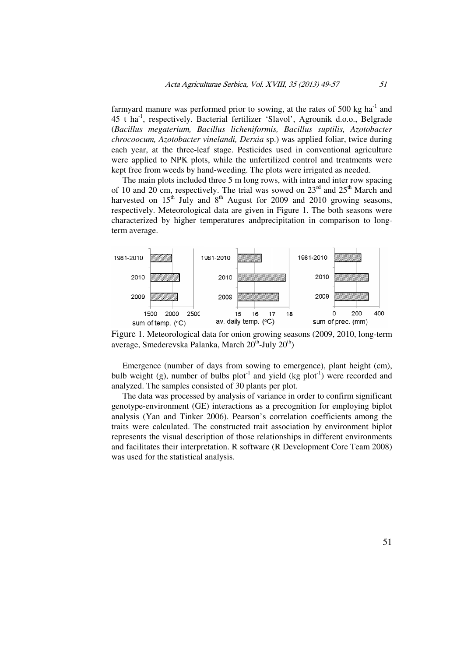farmyard manure was performed prior to sowing, at the rates of 500 kg ha<sup>-1</sup> and 45 t ha-1, respectively. Bacterial fertilizer 'Slavol', Agrounik d.o.o., Belgrade (*Bacillus megaterium, Bacillus licheniformis, Bacillus suptilis, Azotobacter chrocoocum, Azotobacter vinelandi, Derxia* sp.) was applied foliar, twice during each year, at the three-leaf stage. Pesticides used in conventional agriculture were applied to NPK plots, while the unfertilized control and treatments were kept free from weeds by hand-weeding. The plots were irrigated as needed.

The main plots included three 5 m long rows, with intra and inter row spacing of 10 and 20 cm, respectively. The trial was sowed on  $23<sup>rd</sup>$  and  $25<sup>th</sup>$  March and harvested on  $15<sup>th</sup>$  July and  $8<sup>th</sup>$  August for 2009 and 2010 growing seasons, respectively. Meteorological data are given in Figure 1. The both seasons were characterized by higher temperatures andprecipitation in comparison to longterm average.



Figure 1. Meteorological data for onion growing seasons (2009, 2010, long-term average, Smederevska Palanka, March  $20^{th}$ -July  $20^{th}$ )

Emergence (number of days from sowing to emergence), plant height (cm), bulb weight (g), number of bulbs plot<sup>-1</sup> and yield (kg plot<sup>-1</sup>) were recorded and analyzed. The samples consisted of 30 plants per plot.

The data was processed by analysis of variance in order to confirm significant genotype-environment (GE) interactions as a precognition for employing biplot analysis (Yan and Tinker 2006). Pearson's correlation coefficients among the traits were calculated. The constructed trait association by environment biplot represents the visual description of those relationships in different environments and facilitates their interpretation. R software (R Development Core Team 2008) was used for the statistical analysis.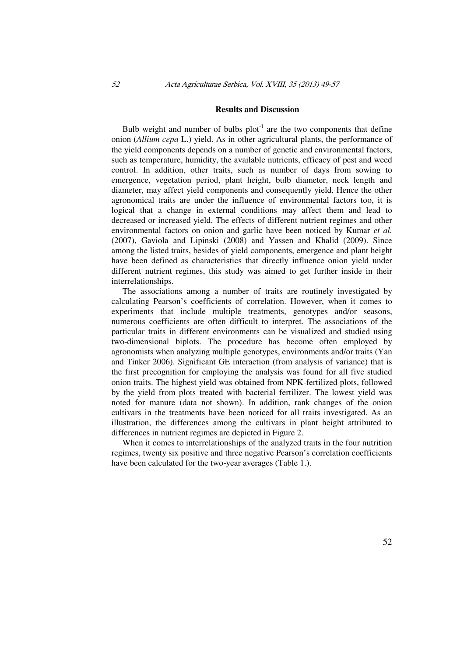#### **Results and Discussion**

Bulb weight and number of bulbs  $plot^{-1}$  are the two components that define onion (*Allium cepa* L.) yield. As in other agricultural plants, the performance of the yield components depends on a number of genetic and environmental factors, such as temperature, humidity, the available nutrients, efficacy of pest and weed control. In addition, other traits, such as number of days from sowing to emergence, vegetation period, plant height, bulb diameter, neck length and diameter, may affect yield components and consequently yield. Hence the other agronomical traits are under the influence of environmental factors too, it is logical that a change in external conditions may affect them and lead to decreased or increased yield. The effects of different nutrient regimes and other environmental factors on onion and garlic have been noticed by Kumar *et al.* (2007), Gaviola and Lipinski (2008) and Yassen and Khalid (2009). Since among the listed traits, besides of yield components, emergence and plant height have been defined as characteristics that directly influence onion yield under different nutrient regimes, this study was aimed to get further inside in their interrelationships.

The associations among a number of traits are routinely investigated by calculating Pearson's coefficients of correlation. However, when it comes to experiments that include multiple treatments, genotypes and/or seasons, numerous coefficients are often difficult to interpret. The associations of the particular traits in different environments can be visualized and studied using two-dimensional biplots. The procedure has become often employed by agronomists when analyzing multiple genotypes, environments and/or traits (Yan and Tinker 2006). Significant GE interaction (from analysis of variance) that is the first precognition for employing the analysis was found for all five studied onion traits. The highest yield was obtained from NPK-fertilized plots, followed by the yield from plots treated with bacterial fertilizer. The lowest yield was noted for manure (data not shown). In addition, rank changes of the onion cultivars in the treatments have been noticed for all traits investigated. As an illustration, the differences among the cultivars in plant height attributed to differences in nutrient regimes are depicted in Figure 2.

When it comes to interrelationships of the analyzed traits in the four nutrition regimes, twenty six positive and three negative Pearson's correlation coefficients have been calculated for the two-year averages (Table 1.).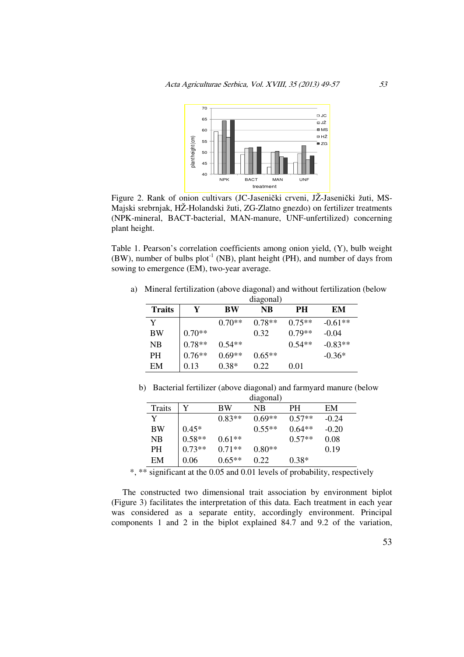

Figure 2. Rank of onion cultivars (JC-Jasenički crveni, JŽ-Jasenički žuti, MS-Majski srebrnjak, HŽ-Holandski žuti, ZG-Zlatno gnezdo) on fertilizer treatments (NPK-mineral, BACT-bacterial, MAN-manure, UNF-unfertilized) concerning plant height.

Table 1. Pearson's correlation coefficients among onion yield, (Y), bulb weight (BW), number of bulbs  $plot^{-1}$  (NB), plant height (PH), and number of days from sowing to emergence (EM), two-year average.

|               | diagonal) |          |          |          |           |  |  |
|---------------|-----------|----------|----------|----------|-----------|--|--|
| <b>Traits</b> | Y         | BW       | NB       | PH       | EM        |  |  |
| Y             |           | $0.70**$ | $0.78**$ | $0.75**$ | $-0.61**$ |  |  |
| BW            | $0.70**$  |          | 0.32     | $0.79**$ | $-0.04$   |  |  |
| <b>NB</b>     | $0.78**$  | $0.54**$ |          | $0.54**$ | $-0.83**$ |  |  |
| <b>PH</b>     | $0.76**$  | $0.69**$ | $0.65**$ |          | $-0.36*$  |  |  |
| EM            | 0.13      | $0.38*$  | 0.22     | 0.01     |           |  |  |

a) Mineral fertilization (above diagonal) and without fertilization (below

b) Bacterial fertilizer (above diagonal) and farmyard manure (below diagonal)

|           | ulagolial) |           |          |          |         |  |
|-----------|------------|-----------|----------|----------|---------|--|
| Traits    | Y          | <b>BW</b> | NB       | PН       | EM      |  |
| Y         |            | $0.83**$  | $0.69**$ | $0.57**$ | $-0.24$ |  |
| <b>BW</b> | $0.45*$    |           | $0.55**$ | $0.64**$ | $-0.20$ |  |
| NB.       | $0.58**$   | $0.61**$  |          | $0.57**$ | 0.08    |  |
| <b>PH</b> | $0.73**$   | $0.71**$  | $0.80**$ |          | 0.19    |  |
| EM        | 0.06       | $0.65**$  | 0.22     | $0.38*$  |         |  |

\*, \*\* significant at the 0.05 and 0.01 levels of probability, respectively

The constructed two dimensional trait association by environment biplot (Figure 3) facilitates the interpretation of this data. Each treatment in each year was considered as a separate entity, accordingly environment. Principal components 1 and 2 in the biplot explained 84.7 and 9.2 of the variation,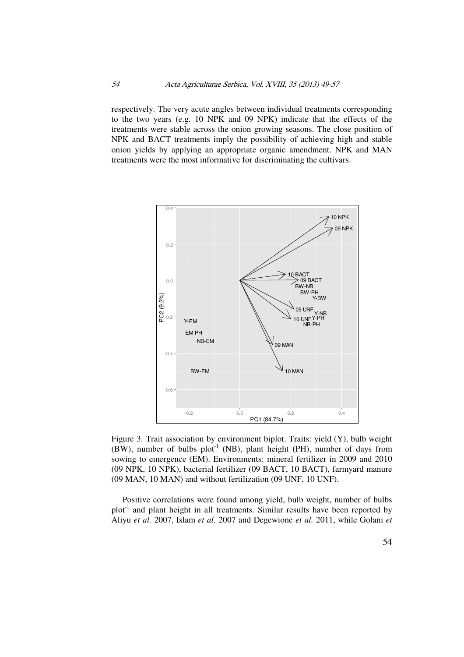respectively. The very acute angles between individual treatments corresponding to the two years (e.g. 10 NPK and 09 NPK) indicate that the effects of the treatments were stable across the onion growing seasons. The close position of NPK and BACT treatments imply the possibility of achieving high and stable onion yields by applying an appropriate organic amendment. NPK and MAN treatments were the most informative for discriminating the cultivars.



Figure 3. Trait association by environment biplot. Traits: yield (Y), bulb weight (BW), number of bulbs  $plot^{-1}$  (NB), plant height (PH), number of days from sowing to emergence (EM). Environments: mineral fertilizer in 2009 and 2010 (09 NPK, 10 NPK), bacterial fertilizer (09 BACT, 10 BACT), farmyard manure (09 MAN, 10 MAN) and without fertilization (09 UNF, 10 UNF).

Positive correlations were found among yield, bulb weight, number of bulbs  $plot<sup>-1</sup>$  and plant height in all treatments. Similar results have been reported by Aliyu *et al.* 2007, Islam *et al.* 2007 and Degewione *et al.* 2011, while Golani *et*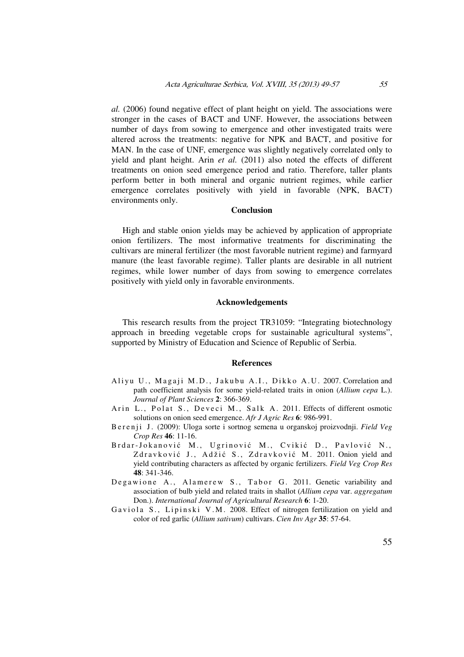*al.* (2006) found negative effect of plant height on yield. The associations were stronger in the cases of BACT and UNF. However, the associations between number of days from sowing to emergence and other investigated traits were altered across the treatments: negative for NPK and BACT, and positive for MAN. In the case of UNF, emergence was slightly negatively correlated only to yield and plant height. Arin *et al.* (2011) also noted the effects of different treatments on onion seed emergence period and ratio. Therefore, taller plants perform better in both mineral and organic nutrient regimes, while earlier emergence correlates positively with yield in favorable (NPK, BACT) environments only.

#### **Conclusion**

High and stable onion yields may be achieved by application of appropriate onion fertilizers. The most informative treatments for discriminating the cultivars are mineral fertilizer (the most favorable nutrient regime) and farmyard manure (the least favorable regime). Taller plants are desirable in all nutrient regimes, while lower number of days from sowing to emergence correlates positively with yield only in favorable environments.

#### **Acknowledgements**

This research results from the project TR31059: "Integrating biotechnology approach in breeding vegetable crops for sustainable agricultural systems", supported by Ministry of Education and Science of Republic of Serbia.

#### **References**

- Aliyu U., Magaji M.D., Jakubu A.I., Dikko A.U. 2007. Correlation and path coefficient analysis for some yield-related traits in onion (*Allium cepa* L.). *Journal of Plant Sciences* **2**: 366-369.
- Arin L., Polat S., Deveci M., Salk A. 2011. Effects of different osmotic solutions on onion seed emergence. *Afr J Agric Res* **6**: 986-991.
- B e r e n j i J. (2009): Uloga sorte i sortnog semena u organskoj proizvodnji. *Field Veg Crop Res* **46**: 11-16.
- Brdar-Jokanović M., Ugrinović M., Cvikić D., Pavlović N., Zdravković J., Adžić S., Zdravković M. 2011. Onion yield and yield contributing characters as affected by organic fertilizers. *Field Veg Crop Res* **48**: 341-346.
- Degawione A., Alamerew S., Tabor G. 2011. Genetic variability and association of bulb yield and related traits in shallot (*Allium cepa* var. *aggregatum* Don.). *International Journal of Agricultural Research* **6**: 1-20.
- Gaviola S., Lipinski V.M. 2008. Effect of nitrogen fertilization on yield and color of red garlic (*Allium sativum*) cultivars. *Cien Inv Agr* **35**: 57-64.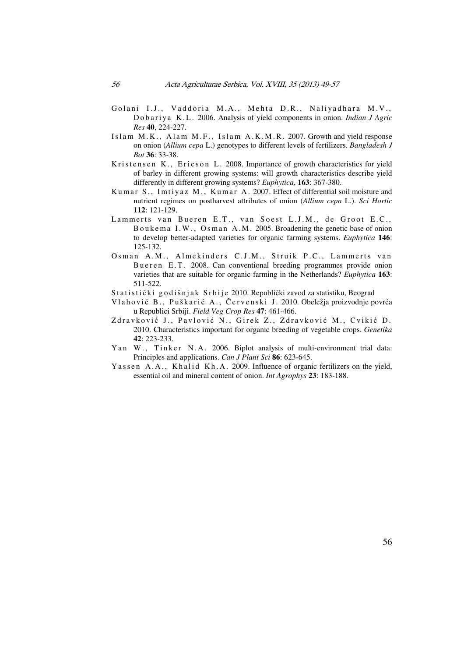- Golani I.J., Vaddoria M.A., Mehta D.R., Naliyadhara M.V., Dobariya K.L. 2006. Analysis of yield components in onion. *Indian J Agric Res* **40**, 224-227.
- Islam M.K., Alam M.F., Islam  $A$ .K.M.R. 2007. Growth and yield response on onion (*Allium cepa* L.) genotypes to different levels of fertilizers. *Bangladesh J Bot* **36**: 33-38.
- Kristensen K., Ericson L. 2008. Importance of growth characteristics for yield of barley in different growing systems: will growth characteristics describe yield differently in different growing systems? *Euphytica*, **163**: 367-380.
- Kumar S., Imtiyaz M., Kumar A. 2007. Effect of differential soil moisture and nutrient regimes on postharvest attributes of onion (*Allium cepa* L.). *Sci Hortic* **112**: 121-129.
- Lammerts van Bueren E.T., van Soest L.J.M., de Groot E.C., B o u k e m a I.W., Osman A.M. 2005. Broadening the genetic base of onion to develop better-adapted varieties for organic farming systems. *Euphytica* **146**: 125-132.
- Osman A.M., Almekinders C.J.M., Struik P.C., Lammerts van Bueren E.T. 2008. Can conventional breeding programmes provide onion varieties that are suitable for organic farming in the Netherlands? *Euphytica* **163**: 511-522.
- Statistički godišnjak Srbije 2010. Republički zavod za statistiku, Beograd
- Vlahović B., Puškarić A., Červenski J. 2010. Obeležja proizvodnje povrća u Republici Srbiji. *Field Veg Crop Res* **47**: 461-466.
- Zdravković J., Pavlović N., Girek Z., Zdravković M., Cvikić D. 2010. Characteristics important for organic breeding of vegetable crops. *Genetika* **42**: 223-233.
- Yan W., Tinker N.A. 2006. Biplot analysis of multi-environment trial data: Principles and applications. *Can J Plant Sci* **86**: 623-645.
- Y assen A.A., Khalid Kh.A. 2009. Influence of organic fertilizers on the yield, essential oil and mineral content of onion. *Int Agrophys* **23**: 183-188.